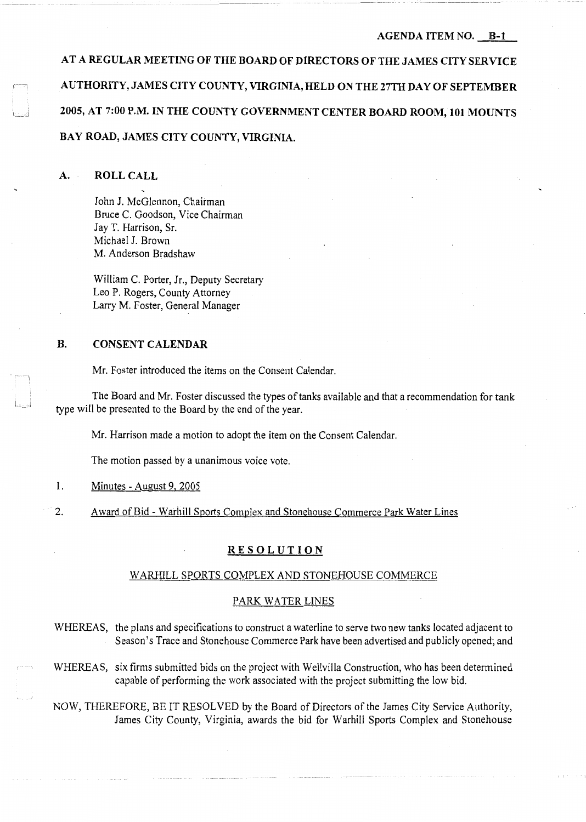**AT A REGULAR MEETING OF THE BOARD OF DIRECTORS OF THE JAMES CITY SERVICE AUTHORITY, JAMES CITY COUNTY, VIRGINIA, HELD ON THE 27TH DAY OF SEPTEMBER 2005, AT 7:00 P.M. IN THE COUNTY GOVERNMENT CENTER BOARD ROOM, 101 MOUNTS BAY ROAD, JAMES CITY COUNTY, VIRGINIA.** 

### **A. ROLL CALL**

John **J.** McGlennon, Chairman Bruce C. Goodson, Vice Chairman Jay T. Harrison, Sr. Michael J. Brown M. Anderson Bradshaw

William C. Porter, Jr., Deputy Secretary Leo P. Rogers, County Attorney Larry M. Foster, General Manager

## **B. CONSENT CALENDAR**

Mr. Foster introduced the items on the Consent Calendar.

The Board and Mr. Foster discussed the types of tanks available and that a recommendation for tank type will be presented to the Board by the end of the year.

Mr. Harrison made a motion to adopt the item on the Consent Calendar.

The motion passed by a unanimous voice vote.

### 1. Minutes - August 9, 2005

2. Award of Bid - Warhill Sports Complex and Stonehouse Commerce Park Water Lines

### **RESOLUTION**

#### W ARHILL SPORTS COMPLEX AND STONEHOUSE COMMERCE

#### PARK WATER LINES

WHEREAS, the plans and specifications to construct a waterline to serve two new tanks located adjacent to Season's Trace and Stonehouse Commerce Park have been advertised and publicly opened; and

WHEREAS, six firms submitted bids on the project with Wellvilla Construction, who has been determined capable of performing the work associated with the project submitting the low bid.

NOW, THEREFORE, BE IT RESOLVED by the Board of Directors of the James City Service Authority, James City County, Virginia, awards the bid for Warhill Sports Complex and Stonehouse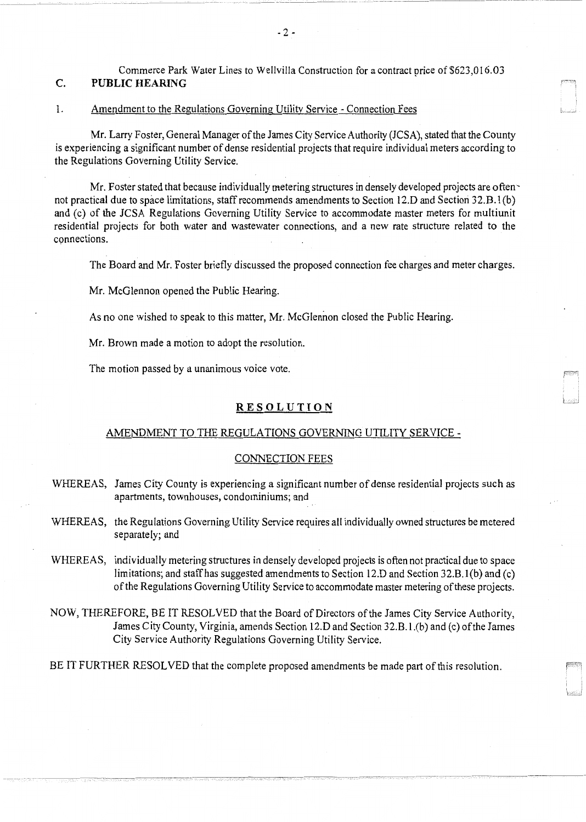c. Commerce Park Water Lines to Wellvilla Construction for a contract price of \$623,016.03 **PUBLIC HEARING** 

#### 1. Amendment to the Regulations Governing Utilitv Service - Connection Fees

Mr. Larry Foster, General Manager of the James City Service Authority (JCSA), stated that the County is experiencing a significant number of dense residential projects that require individual meters according to the Regulations Governing Utility Service.

Mr. Foster stated that because individually metering structures in densely developed projects are often not practical due to space limitations, staff recommends amendments to Section 12.D and Section 32.B. 1(b) and (c) of the JCSA Regulations Governing Utility Service to accommodate master meters for multiunit residential projects for both water and wastewater connections, and a new rate structure related to the connections.

The Board and Mr. Foster briefly discussed the proposed connection fee charges and meter charges.

Mr. McGlennon opened the Public Hearing.

As no one wished to speak to this matter, Mr. McGlennon closed the Public Hearing.

Mr. Brown made a motion to adopt the resolution.

The motion passed by a unanimous voice vote.

### **RESOLUTION**

#### AMENDMENT TO THE REGULATIONS GOVERNING UTILITY SERVICE -

#### CONNECTION FEES

- WHEREAS, James City County is experiencing a significant number of dense residential projects such as apartments, townhouses, condominiums; and
- WHEREAS, the Regulations Governing Utility Service requires all individually owned structures be metered separately; and
- WHEREAS, individually metering structures in densely developed projects is often not practical due to space limitations; and staff has suggested amendments to Section 12.D and Section 32.B.l (b) and (c) of the Regulations Governing Utility Service to accommodate master metering of these projects.
- NOW, THEREFORE, BE IT RESOLVED that the Board of Directors of the James City Service Authority, James City County, Virginia, amends Section 12.D and Section 32.B. l .(b) and (c) of the James City Service Authority Regulations Governing Utility Service.

BE IT FURTHER RESOLVED that the complete proposed amendments be made part of this resolution.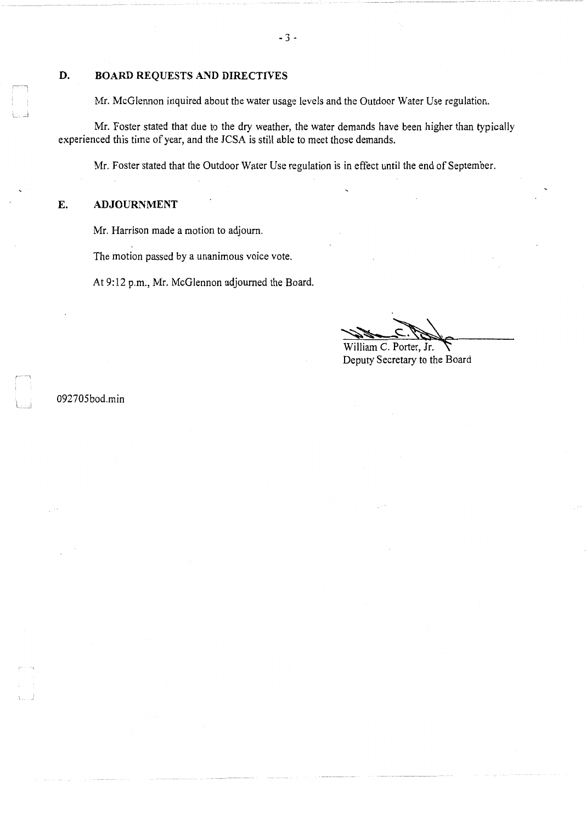## **D. BOARD REQUESTS AND DIRECTIVES**

Mr. McGlennon inquired about the water usage levels and the Outdoor Water Use regulation.

Mr. Foster stated that due to the dry weather, the water demands have been higher than typically experienced this time of year, and the JCSA is still able to meet those demands.

Mr. Foster stated that the Outdoor Water Use regulation is in effect until the end of September.

# **E. ADJOURNMENT**

Mr. Harrison made a motion to adjourn.

The motion passed by a unanimous voice vote.

At 9:12 p.m., Mr. McGlennon adjourned the Board.

William C. Porter, Jr.

Deputy Secretary to the Board

092705bod.min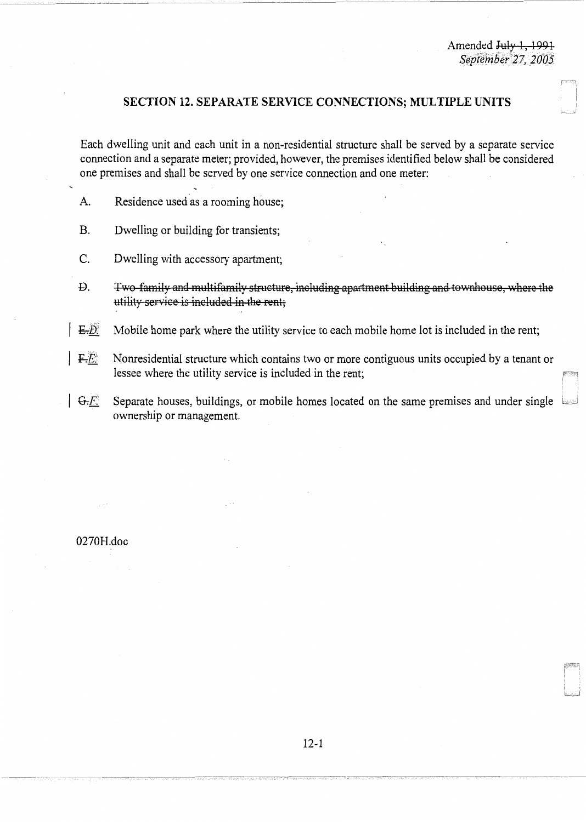# **SECTION 12. SEPARATE SERVICE CONNECTIONS; MULTIPLE UNITS**

Each dwelling unit and each unit in a non-residential structure shall be served by a separate service connection and a separate meter; provided, however, the premises identified below shall be considered one premises and shall be served by one service connection and one meter:

- A. Residence used as a rooming house;
- B. Dwelling or building for transients;
- C. Dwelling with accessory apartment;
- Q. Two family and multifamily structure, including apartment building and townhouse, \Vhere the utility service is included in the rent;
- $\mathbb{E} \mathcal{D}$  Mobile home park where the utility service to each mobile home lot is included in the rent;
- *IFI:* Nonresidential structure which contains two or more contiguous units occupied by a tenant or lessee where the utility service is included in the rent;
- $~\sqrt{G-E}$ . Separate houses, buildings, or mobile homes located on the same premises and under single ownership or management.

0270H.doc